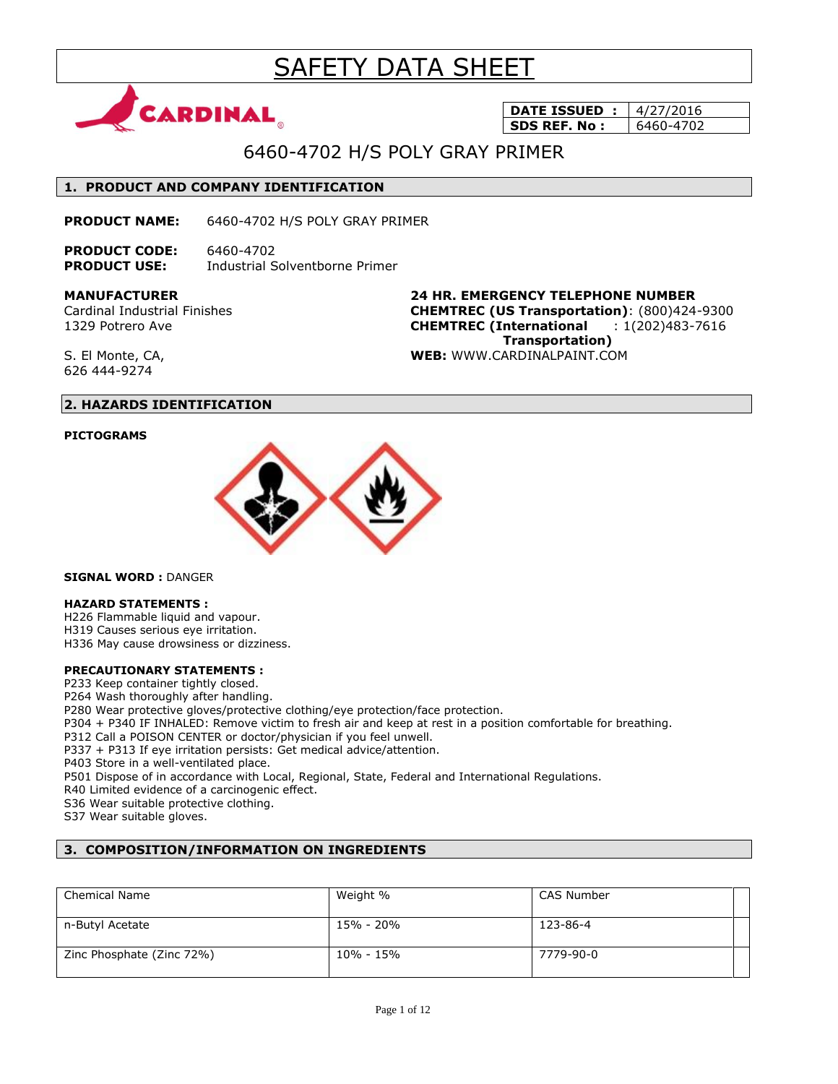# SAFETY DATA SHEET



**DATE ISSUED : 4/27/2016 SDS REF. No: | 6460-4702** 

# 6460-4702 H/S POLY GRAY PRIMER

# **1. PRODUCT AND COMPANY IDENTIFICATION**

**PRODUCT NAME:** 6460-4702 H/S POLY GRAY PRIMER

**PRODUCT CODE:** 6460-4702 **PRODUCT USE:** Industrial Solventborne Primer

**MANUFACTURER**

Cardinal Industrial Finishes 1329 Potrero Ave

**24 HR. EMERGENCY TELEPHONE NUMBER CHEMTREC (US Transportation)**: (800)424-9300 **CHEMTREC (International** : 1(202)483-7616  **Transportation) WEB:** WWW.CARDINALPAINT.COM

S. El Monte, CA, 626 444-9274

# **2. HAZARDS IDENTIFICATION**

### **PICTOGRAMS**



**SIGNAL WORD :** DANGER

### **HAZARD STATEMENTS :**

H226 Flammable liquid and vapour. H319 Causes serious eye irritation.

H336 May cause drowsiness or dizziness.

### **PRECAUTIONARY STATEMENTS :**

P233 Keep container tightly closed.

P264 Wash thoroughly after handling.

P280 Wear protective gloves/protective clothing/eye protection/face protection.

P304 + P340 IF INHALED: Remove victim to fresh air and keep at rest in a position comfortable for breathing.

P312 Call a POISON CENTER or doctor/physician if you feel unwell.

P337 + P313 If eye irritation persists: Get medical advice/attention.

P403 Store in a well-ventilated place.

P501 Dispose of in accordance with Local, Regional, State, Federal and International Regulations.

R40 Limited evidence of a carcinogenic effect.

S36 Wear suitable protective clothing.

S37 Wear suitable gloves.

# **3. COMPOSITION/INFORMATION ON INGREDIENTS**

| <b>Chemical Name</b>      | Weight %  | CAS Number |  |
|---------------------------|-----------|------------|--|
| n-Butyl Acetate           | 15% - 20% | 123-86-4   |  |
| Zinc Phosphate (Zinc 72%) | 10% - 15% | 7779-90-0  |  |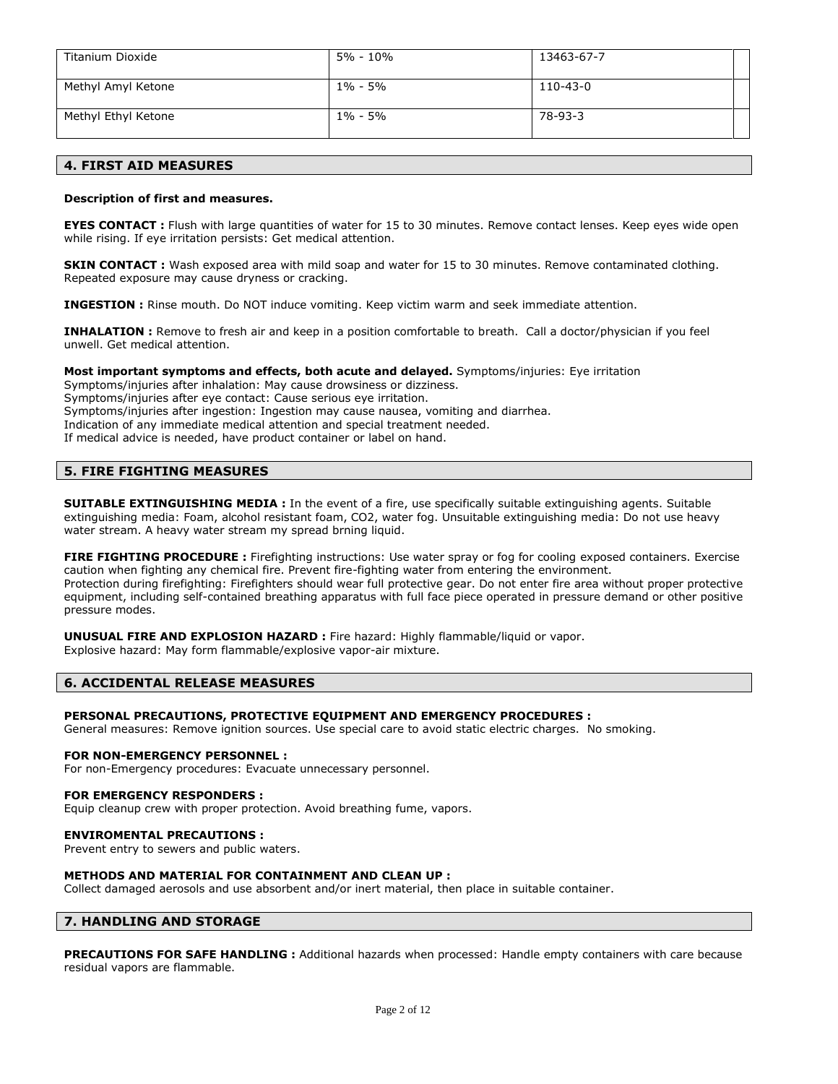| Titanium Dioxide    | 5% - 10%    | 13463-67-7 |
|---------------------|-------------|------------|
| Methyl Amyl Ketone  | $1\% - 5\%$ | 110-43-0   |
| Methyl Ethyl Ketone | $1\% - 5\%$ | 78-93-3    |

## **4. FIRST AID MEASURES**

### **Description of first and measures.**

**EYES CONTACT** : Flush with large quantities of water for 15 to 30 minutes. Remove contact lenses. Keep eyes wide open while rising. If eye irritation persists: Get medical attention.

**SKIN CONTACT :** Wash exposed area with mild soap and water for 15 to 30 minutes. Remove contaminated clothing. Repeated exposure may cause dryness or cracking.

**INGESTION :** Rinse mouth. Do NOT induce vomiting. Keep victim warm and seek immediate attention.

**INHALATION :** Remove to fresh air and keep in a position comfortable to breath. Call a doctor/physician if you feel unwell. Get medical attention.

### **Most important symptoms and effects, both acute and delayed.** Symptoms/injuries: Eye irritation

Symptoms/injuries after inhalation: May cause drowsiness or dizziness. Symptoms/injuries after eye contact: Cause serious eye irritation. Symptoms/injuries after ingestion: Ingestion may cause nausea, vomiting and diarrhea. Indication of any immediate medical attention and special treatment needed. If medical advice is needed, have product container or label on hand.

# **5. FIRE FIGHTING MEASURES**

**SUITABLE EXTINGUISHING MEDIA :** In the event of a fire, use specifically suitable extinguishing agents. Suitable extinguishing media: Foam, alcohol resistant foam, CO2, water fog. Unsuitable extinguishing media: Do not use heavy water stream. A heavy water stream my spread brning liquid.

**FIRE FIGHTING PROCEDURE :** Firefighting instructions: Use water spray or fog for cooling exposed containers. Exercise caution when fighting any chemical fire. Prevent fire-fighting water from entering the environment. Protection during firefighting: Firefighters should wear full protective gear. Do not enter fire area without proper protective equipment, including self-contained breathing apparatus with full face piece operated in pressure demand or other positive pressure modes.

**UNUSUAL FIRE AND EXPLOSION HAZARD :** Fire hazard: Highly flammable/liquid or vapor. Explosive hazard: May form flammable/explosive vapor-air mixture.

### **6. ACCIDENTAL RELEASE MEASURES**

### **PERSONAL PRECAUTIONS, PROTECTIVE EQUIPMENT AND EMERGENCY PROCEDURES :**

General measures: Remove ignition sources. Use special care to avoid static electric charges. No smoking.

### **FOR NON-EMERGENCY PERSONNEL :**

For non-Emergency procedures: Evacuate unnecessary personnel.

### **FOR EMERGENCY RESPONDERS :**

Equip cleanup crew with proper protection. Avoid breathing fume, vapors.

### **ENVIROMENTAL PRECAUTIONS :**

Prevent entry to sewers and public waters.

### **METHODS AND MATERIAL FOR CONTAINMENT AND CLEAN UP :**

Collect damaged aerosols and use absorbent and/or inert material, then place in suitable container.

### **7. HANDLING AND STORAGE**

**PRECAUTIONS FOR SAFE HANDLING :** Additional hazards when processed: Handle empty containers with care because residual vapors are flammable.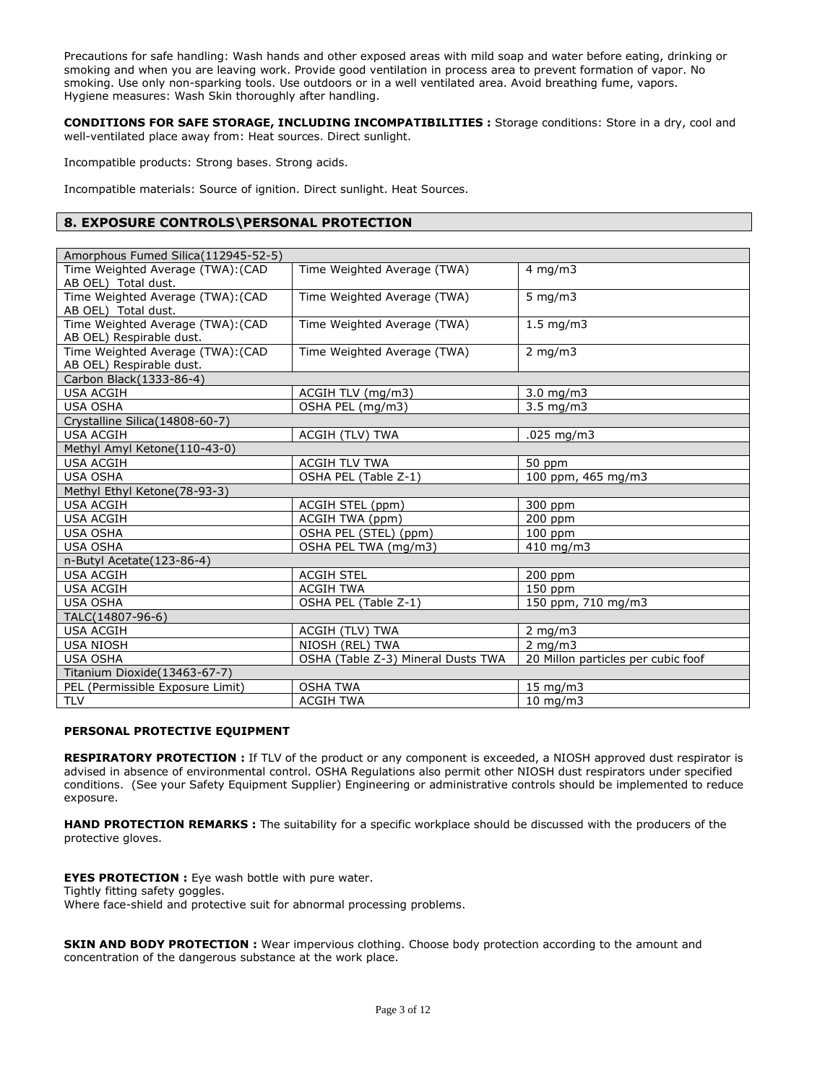Precautions for safe handling: Wash hands and other exposed areas with mild soap and water before eating, drinking or smoking and when you are leaving work. Provide good ventilation in process area to prevent formation of vapor. No smoking. Use only non-sparking tools. Use outdoors or in a well ventilated area. Avoid breathing fume, vapors. Hygiene measures: Wash Skin thoroughly after handling.

**CONDITIONS FOR SAFE STORAGE, INCLUDING INCOMPATIBILITIES :** Storage conditions: Store in a dry, cool and well-ventilated place away from: Heat sources. Direct sunlight.

Incompatible products: Strong bases. Strong acids.

Incompatible materials: Source of ignition. Direct sunlight. Heat Sources.

# **8. EXPOSURE CONTROLS\PERSONAL PROTECTION**

| Time Weighted Average (TWA): (CAD<br>$4 \text{ mg/m}$<br>Time Weighted Average (TWA)<br>AB OEL) Total dust.<br>Time Weighted Average (TWA): (CAD<br>Time Weighted Average (TWA)<br>5 mg/m $3$<br>AB OEL) Total dust.<br>Time Weighted Average (TWA): (CAD<br>Time Weighted Average (TWA)<br>$1.5$ mg/m3<br>AB OEL) Respirable dust.<br>Time Weighted Average (TWA): (CAD<br>$2$ mg/m $3$<br>Time Weighted Average (TWA)<br>AB OEL) Respirable dust.<br>Carbon Black(1333-86-4)<br><b>USA ACGIH</b><br>ACGIH TLV (mg/m3)<br>$3.0$ mg/m $3$<br><b>USA OSHA</b><br>OSHA PEL (mg/m3)<br>$3.5 \text{ mg/m}$<br>Crystalline Silica(14808-60-7)<br><b>USA ACGIH</b><br>ACGIH (TLV) TWA<br>$.025$ mg/m3<br>Methyl Amyl Ketone(110-43-0)<br>USA ACGIH<br><b>ACGIH TLV TWA</b><br>50 ppm<br>$100$ ppm, 465 mg/m3<br><b>USA OSHA</b><br>OSHA PEL (Table Z-1)<br>Methyl Ethyl Ketone(78-93-3)<br><b>USA ACGIH</b><br>ACGIH STEL (ppm)<br>300 ppm<br><b>USA ACGIH</b><br>ACGIH TWA (ppm)<br>200 ppm<br><b>USA OSHA</b><br>OSHA PEL (STEL) (ppm)<br>$100$ ppm<br><b>USA OSHA</b><br>OSHA PEL TWA (mg/m3)<br>$410$ mg/m3<br>n-Butyl Acetate (123-86-4)<br><b>USA ACGIH</b><br><b>ACGIH STEL</b><br>$200$ ppm<br>150 ppm<br><b>ACGIH TWA</b><br><b>USA ACGIH</b><br>150 ppm, 710 mg/m3<br><b>USA OSHA</b><br>OSHA PEL (Table Z-1)<br>TALC(14807-96-6)<br><b>USA ACGIH</b><br>ACGIH (TLV) TWA<br>$2 \text{ mg/m}$<br>NIOSH (REL) TWA<br>$2 \text{ mg/m}$<br><b>USA NIOSH</b><br>20 Millon particles per cubic foof<br><b>USA OSHA</b><br>OSHA (Table Z-3) Mineral Dusts TWA<br>Titanium Dioxide(13463-67-7)<br><b>OSHA TWA</b><br>PEL (Permissible Exposure Limit)<br>$15 \text{ mg/m}$<br><b>TLV</b><br><b>ACGIH TWA</b><br>$10 \text{ mg/m}$ | Amorphous Fumed Silica(112945-52-5) |  |  |  |
|-------------------------------------------------------------------------------------------------------------------------------------------------------------------------------------------------------------------------------------------------------------------------------------------------------------------------------------------------------------------------------------------------------------------------------------------------------------------------------------------------------------------------------------------------------------------------------------------------------------------------------------------------------------------------------------------------------------------------------------------------------------------------------------------------------------------------------------------------------------------------------------------------------------------------------------------------------------------------------------------------------------------------------------------------------------------------------------------------------------------------------------------------------------------------------------------------------------------------------------------------------------------------------------------------------------------------------------------------------------------------------------------------------------------------------------------------------------------------------------------------------------------------------------------------------------------------------------------------------------------------------------------------------------------------------------------------------------------------------|-------------------------------------|--|--|--|
|                                                                                                                                                                                                                                                                                                                                                                                                                                                                                                                                                                                                                                                                                                                                                                                                                                                                                                                                                                                                                                                                                                                                                                                                                                                                                                                                                                                                                                                                                                                                                                                                                                                                                                                               |                                     |  |  |  |
|                                                                                                                                                                                                                                                                                                                                                                                                                                                                                                                                                                                                                                                                                                                                                                                                                                                                                                                                                                                                                                                                                                                                                                                                                                                                                                                                                                                                                                                                                                                                                                                                                                                                                                                               |                                     |  |  |  |
|                                                                                                                                                                                                                                                                                                                                                                                                                                                                                                                                                                                                                                                                                                                                                                                                                                                                                                                                                                                                                                                                                                                                                                                                                                                                                                                                                                                                                                                                                                                                                                                                                                                                                                                               |                                     |  |  |  |
|                                                                                                                                                                                                                                                                                                                                                                                                                                                                                                                                                                                                                                                                                                                                                                                                                                                                                                                                                                                                                                                                                                                                                                                                                                                                                                                                                                                                                                                                                                                                                                                                                                                                                                                               |                                     |  |  |  |
|                                                                                                                                                                                                                                                                                                                                                                                                                                                                                                                                                                                                                                                                                                                                                                                                                                                                                                                                                                                                                                                                                                                                                                                                                                                                                                                                                                                                                                                                                                                                                                                                                                                                                                                               |                                     |  |  |  |
|                                                                                                                                                                                                                                                                                                                                                                                                                                                                                                                                                                                                                                                                                                                                                                                                                                                                                                                                                                                                                                                                                                                                                                                                                                                                                                                                                                                                                                                                                                                                                                                                                                                                                                                               |                                     |  |  |  |
|                                                                                                                                                                                                                                                                                                                                                                                                                                                                                                                                                                                                                                                                                                                                                                                                                                                                                                                                                                                                                                                                                                                                                                                                                                                                                                                                                                                                                                                                                                                                                                                                                                                                                                                               |                                     |  |  |  |
|                                                                                                                                                                                                                                                                                                                                                                                                                                                                                                                                                                                                                                                                                                                                                                                                                                                                                                                                                                                                                                                                                                                                                                                                                                                                                                                                                                                                                                                                                                                                                                                                                                                                                                                               |                                     |  |  |  |
|                                                                                                                                                                                                                                                                                                                                                                                                                                                                                                                                                                                                                                                                                                                                                                                                                                                                                                                                                                                                                                                                                                                                                                                                                                                                                                                                                                                                                                                                                                                                                                                                                                                                                                                               |                                     |  |  |  |
|                                                                                                                                                                                                                                                                                                                                                                                                                                                                                                                                                                                                                                                                                                                                                                                                                                                                                                                                                                                                                                                                                                                                                                                                                                                                                                                                                                                                                                                                                                                                                                                                                                                                                                                               |                                     |  |  |  |
|                                                                                                                                                                                                                                                                                                                                                                                                                                                                                                                                                                                                                                                                                                                                                                                                                                                                                                                                                                                                                                                                                                                                                                                                                                                                                                                                                                                                                                                                                                                                                                                                                                                                                                                               |                                     |  |  |  |
|                                                                                                                                                                                                                                                                                                                                                                                                                                                                                                                                                                                                                                                                                                                                                                                                                                                                                                                                                                                                                                                                                                                                                                                                                                                                                                                                                                                                                                                                                                                                                                                                                                                                                                                               |                                     |  |  |  |
|                                                                                                                                                                                                                                                                                                                                                                                                                                                                                                                                                                                                                                                                                                                                                                                                                                                                                                                                                                                                                                                                                                                                                                                                                                                                                                                                                                                                                                                                                                                                                                                                                                                                                                                               |                                     |  |  |  |
|                                                                                                                                                                                                                                                                                                                                                                                                                                                                                                                                                                                                                                                                                                                                                                                                                                                                                                                                                                                                                                                                                                                                                                                                                                                                                                                                                                                                                                                                                                                                                                                                                                                                                                                               |                                     |  |  |  |
|                                                                                                                                                                                                                                                                                                                                                                                                                                                                                                                                                                                                                                                                                                                                                                                                                                                                                                                                                                                                                                                                                                                                                                                                                                                                                                                                                                                                                                                                                                                                                                                                                                                                                                                               |                                     |  |  |  |
|                                                                                                                                                                                                                                                                                                                                                                                                                                                                                                                                                                                                                                                                                                                                                                                                                                                                                                                                                                                                                                                                                                                                                                                                                                                                                                                                                                                                                                                                                                                                                                                                                                                                                                                               |                                     |  |  |  |
|                                                                                                                                                                                                                                                                                                                                                                                                                                                                                                                                                                                                                                                                                                                                                                                                                                                                                                                                                                                                                                                                                                                                                                                                                                                                                                                                                                                                                                                                                                                                                                                                                                                                                                                               |                                     |  |  |  |
|                                                                                                                                                                                                                                                                                                                                                                                                                                                                                                                                                                                                                                                                                                                                                                                                                                                                                                                                                                                                                                                                                                                                                                                                                                                                                                                                                                                                                                                                                                                                                                                                                                                                                                                               |                                     |  |  |  |
|                                                                                                                                                                                                                                                                                                                                                                                                                                                                                                                                                                                                                                                                                                                                                                                                                                                                                                                                                                                                                                                                                                                                                                                                                                                                                                                                                                                                                                                                                                                                                                                                                                                                                                                               |                                     |  |  |  |
|                                                                                                                                                                                                                                                                                                                                                                                                                                                                                                                                                                                                                                                                                                                                                                                                                                                                                                                                                                                                                                                                                                                                                                                                                                                                                                                                                                                                                                                                                                                                                                                                                                                                                                                               |                                     |  |  |  |
|                                                                                                                                                                                                                                                                                                                                                                                                                                                                                                                                                                                                                                                                                                                                                                                                                                                                                                                                                                                                                                                                                                                                                                                                                                                                                                                                                                                                                                                                                                                                                                                                                                                                                                                               |                                     |  |  |  |
|                                                                                                                                                                                                                                                                                                                                                                                                                                                                                                                                                                                                                                                                                                                                                                                                                                                                                                                                                                                                                                                                                                                                                                                                                                                                                                                                                                                                                                                                                                                                                                                                                                                                                                                               |                                     |  |  |  |
|                                                                                                                                                                                                                                                                                                                                                                                                                                                                                                                                                                                                                                                                                                                                                                                                                                                                                                                                                                                                                                                                                                                                                                                                                                                                                                                                                                                                                                                                                                                                                                                                                                                                                                                               |                                     |  |  |  |
|                                                                                                                                                                                                                                                                                                                                                                                                                                                                                                                                                                                                                                                                                                                                                                                                                                                                                                                                                                                                                                                                                                                                                                                                                                                                                                                                                                                                                                                                                                                                                                                                                                                                                                                               |                                     |  |  |  |
|                                                                                                                                                                                                                                                                                                                                                                                                                                                                                                                                                                                                                                                                                                                                                                                                                                                                                                                                                                                                                                                                                                                                                                                                                                                                                                                                                                                                                                                                                                                                                                                                                                                                                                                               |                                     |  |  |  |
|                                                                                                                                                                                                                                                                                                                                                                                                                                                                                                                                                                                                                                                                                                                                                                                                                                                                                                                                                                                                                                                                                                                                                                                                                                                                                                                                                                                                                                                                                                                                                                                                                                                                                                                               |                                     |  |  |  |
|                                                                                                                                                                                                                                                                                                                                                                                                                                                                                                                                                                                                                                                                                                                                                                                                                                                                                                                                                                                                                                                                                                                                                                                                                                                                                                                                                                                                                                                                                                                                                                                                                                                                                                                               |                                     |  |  |  |
|                                                                                                                                                                                                                                                                                                                                                                                                                                                                                                                                                                                                                                                                                                                                                                                                                                                                                                                                                                                                                                                                                                                                                                                                                                                                                                                                                                                                                                                                                                                                                                                                                                                                                                                               |                                     |  |  |  |
|                                                                                                                                                                                                                                                                                                                                                                                                                                                                                                                                                                                                                                                                                                                                                                                                                                                                                                                                                                                                                                                                                                                                                                                                                                                                                                                                                                                                                                                                                                                                                                                                                                                                                                                               |                                     |  |  |  |
|                                                                                                                                                                                                                                                                                                                                                                                                                                                                                                                                                                                                                                                                                                                                                                                                                                                                                                                                                                                                                                                                                                                                                                                                                                                                                                                                                                                                                                                                                                                                                                                                                                                                                                                               |                                     |  |  |  |
|                                                                                                                                                                                                                                                                                                                                                                                                                                                                                                                                                                                                                                                                                                                                                                                                                                                                                                                                                                                                                                                                                                                                                                                                                                                                                                                                                                                                                                                                                                                                                                                                                                                                                                                               |                                     |  |  |  |
|                                                                                                                                                                                                                                                                                                                                                                                                                                                                                                                                                                                                                                                                                                                                                                                                                                                                                                                                                                                                                                                                                                                                                                                                                                                                                                                                                                                                                                                                                                                                                                                                                                                                                                                               |                                     |  |  |  |

### **PERSONAL PROTECTIVE EQUIPMENT**

**RESPIRATORY PROTECTION :** If TLV of the product or any component is exceeded, a NIOSH approved dust respirator is advised in absence of environmental control. OSHA Regulations also permit other NIOSH dust respirators under specified conditions. (See your Safety Equipment Supplier) Engineering or administrative controls should be implemented to reduce exposure.

**HAND PROTECTION REMARKS :** The suitability for a specific workplace should be discussed with the producers of the protective gloves.

**EYES PROTECTION :** Eye wash bottle with pure water. Tightly fitting safety goggles. Where face-shield and protective suit for abnormal processing problems.

**SKIN AND BODY PROTECTION :** Wear impervious clothing. Choose body protection according to the amount and concentration of the dangerous substance at the work place.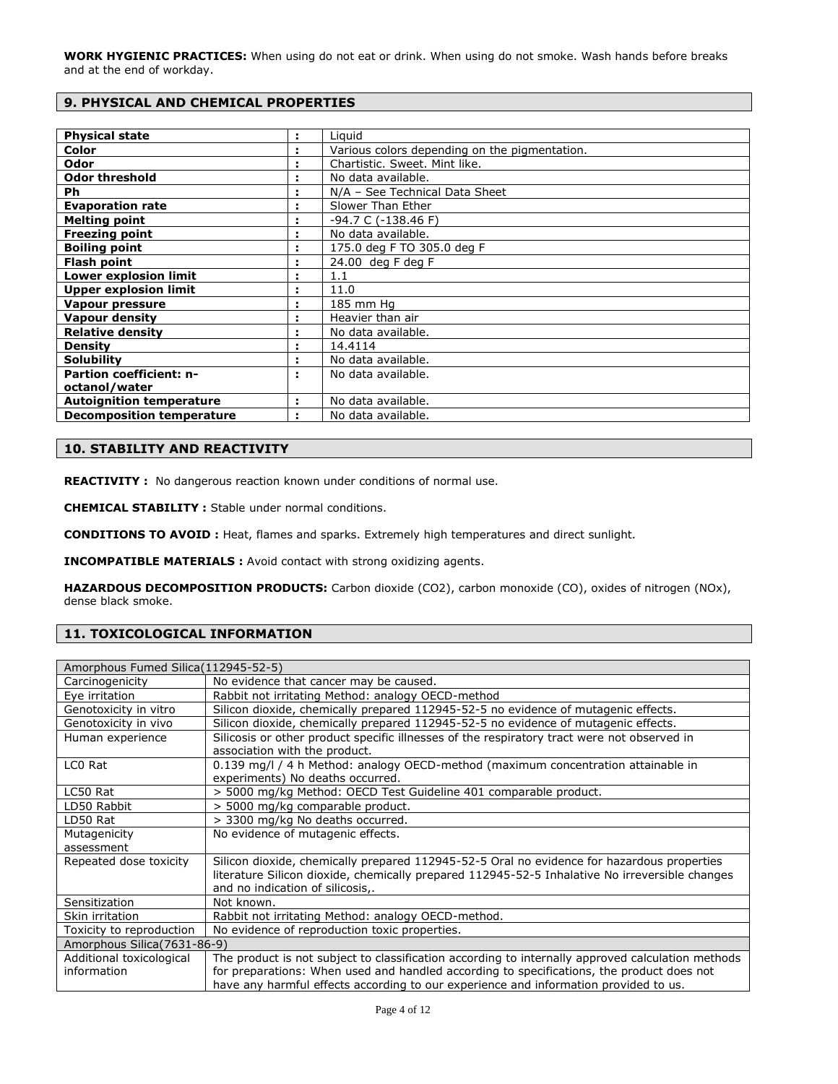**WORK HYGIENIC PRACTICES:** When using do not eat or drink. When using do not smoke. Wash hands before breaks and at the end of workday.

# **9. PHYSICAL AND CHEMICAL PROPERTIES**

| <b>Physical state</b>            | ÷ | Liguid                                        |
|----------------------------------|---|-----------------------------------------------|
| Color                            | ÷ | Various colors depending on the pigmentation. |
| Odor                             | ÷ | Chartistic. Sweet. Mint like.                 |
| <b>Odor threshold</b>            |   | No data available.                            |
| Ph                               |   | N/A - See Technical Data Sheet                |
| <b>Evaporation rate</b>          |   | Slower Than Ether                             |
| <b>Melting point</b>             |   | $-94.7 C (-138.46 F)$                         |
| <b>Freezing point</b>            |   | No data available.                            |
| <b>Boiling point</b>             |   | 175.0 deg F TO 305.0 deg F                    |
| <b>Flash point</b>               |   | $24.00$ deg F deg F                           |
| <b>Lower explosion limit</b>     |   | 1.1                                           |
| <b>Upper explosion limit</b>     |   | 11.0                                          |
| Vapour pressure                  |   | 185 mm Hg                                     |
| Vapour density                   |   | Heavier than air                              |
| <b>Relative density</b>          |   | No data available.                            |
| <b>Density</b>                   |   | 14.4114                                       |
| <b>Solubility</b>                |   | No data available.                            |
| <b>Partion coefficient: n-</b>   | ÷ | No data available.                            |
| octanol/water                    |   |                                               |
| <b>Autoignition temperature</b>  | ÷ | No data available.                            |
| <b>Decomposition temperature</b> |   | No data available.                            |

# **10. STABILITY AND REACTIVITY**

REACTIVITY : No dangerous reaction known under conditions of normal use.

**CHEMICAL STABILITY :** Stable under normal conditions.

**CONDITIONS TO AVOID :** Heat, flames and sparks. Extremely high temperatures and direct sunlight.

**INCOMPATIBLE MATERIALS :** Avoid contact with strong oxidizing agents.

**HAZARDOUS DECOMPOSITION PRODUCTS:** Carbon dioxide (CO2), carbon monoxide (CO), oxides of nitrogen (NOx), dense black smoke.

# **11. TOXICOLOGICAL INFORMATION**

| Amorphous Fumed Silica (112945-52-5) |                                                                                                   |  |
|--------------------------------------|---------------------------------------------------------------------------------------------------|--|
| Carcinogenicity                      | No evidence that cancer may be caused.                                                            |  |
| Eye irritation                       | Rabbit not irritating Method: analogy OECD-method                                                 |  |
| Genotoxicity in vitro                | Silicon dioxide, chemically prepared 112945-52-5 no evidence of mutagenic effects.                |  |
| Genotoxicity in vivo                 | Silicon dioxide, chemically prepared 112945-52-5 no evidence of mutagenic effects.                |  |
| Human experience                     | Silicosis or other product specific illnesses of the respiratory tract were not observed in       |  |
|                                      | association with the product.                                                                     |  |
| LCO Rat                              | 0.139 mg/l / 4 h Method: analogy OECD-method (maximum concentration attainable in                 |  |
|                                      | experiments) No deaths occurred.                                                                  |  |
| LC50 Rat                             | > 5000 mg/kg Method: OECD Test Guideline 401 comparable product.                                  |  |
| LD50 Rabbit                          | > 5000 mg/kg comparable product.                                                                  |  |
| LD50 Rat                             | > 3300 mg/kg No deaths occurred.                                                                  |  |
| Mutagenicity                         | No evidence of mutagenic effects.                                                                 |  |
| assessment                           |                                                                                                   |  |
| Repeated dose toxicity               | Silicon dioxide, chemically prepared 112945-52-5 Oral no evidence for hazardous properties        |  |
|                                      | literature Silicon dioxide, chemically prepared 112945-52-5 Inhalative No irreversible changes    |  |
|                                      | and no indication of silicosis,.                                                                  |  |
| Sensitization                        | Not known.                                                                                        |  |
| Skin irritation                      | Rabbit not irritating Method: analogy OECD-method.                                                |  |
| Toxicity to reproduction             | No evidence of reproduction toxic properties.                                                     |  |
| Amorphous Silica (7631-86-9)         |                                                                                                   |  |
| Additional toxicological             | The product is not subject to classification according to internally approved calculation methods |  |
| information                          | for preparations: When used and handled according to specifications, the product does not         |  |
|                                      | have any harmful effects according to our experience and information provided to us.              |  |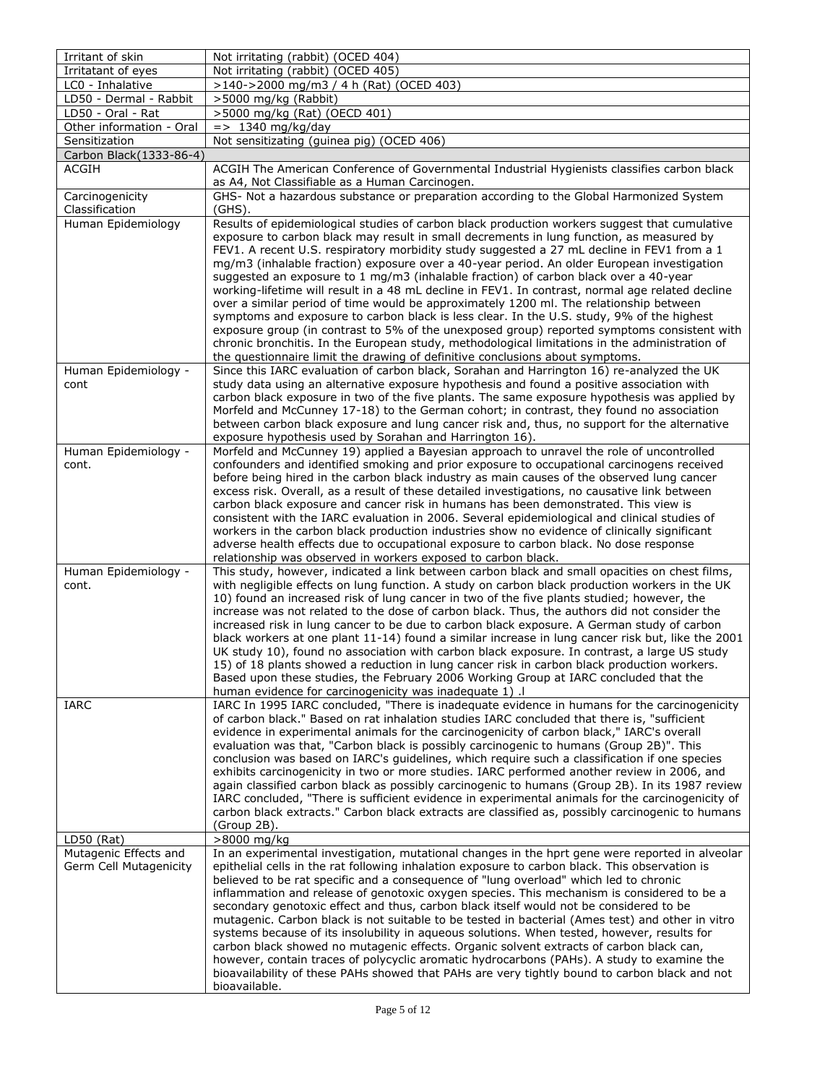| Irritant of skin                      | Not irritating (rabbit) (OCED 404)                                                                                                                                                              |
|---------------------------------------|-------------------------------------------------------------------------------------------------------------------------------------------------------------------------------------------------|
| Irritatant of eyes                    | Not irritating (rabbit) (OCED 405)                                                                                                                                                              |
| LC0 - Inhalative                      | >140->2000 mg/m3 / 4 h (Rat) (OCED 403)                                                                                                                                                         |
| LD50 - Dermal - Rabbit                | >5000 mg/kg (Rabbit)                                                                                                                                                                            |
| LD50 - Oral - Rat                     | >5000 mg/kg (Rat) (OECD 401)                                                                                                                                                                    |
| Other information - Oral              | $\Rightarrow$ 1340 mg/kg/day                                                                                                                                                                    |
| Sensitization                         | Not sensitizating (guinea pig) (OCED 406)                                                                                                                                                       |
| Carbon Black (1333-86-4)              |                                                                                                                                                                                                 |
| ACGIH                                 | ACGIH The American Conference of Governmental Industrial Hygienists classifies carbon black<br>as A4, Not Classifiable as a Human Carcinogen.                                                   |
| Carcinogenicity                       | GHS- Not a hazardous substance or preparation according to the Global Harmonized System                                                                                                         |
| Classification                        | (GHS).                                                                                                                                                                                          |
| Human Epidemiology                    | Results of epidemiological studies of carbon black production workers suggest that cumulative                                                                                                   |
|                                       | exposure to carbon black may result in small decrements in lung function, as measured by                                                                                                        |
|                                       | FEV1. A recent U.S. respiratory morbidity study suggested a 27 mL decline in FEV1 from a 1                                                                                                      |
|                                       | mg/m3 (inhalable fraction) exposure over a 40-year period. An older European investigation                                                                                                      |
|                                       | suggested an exposure to 1 mg/m3 (inhalable fraction) of carbon black over a 40-year<br>working-lifetime will result in a 48 mL decline in FEV1. In contrast, normal age related decline        |
|                                       | over a similar period of time would be approximately 1200 ml. The relationship between                                                                                                          |
|                                       | symptoms and exposure to carbon black is less clear. In the U.S. study, 9% of the highest                                                                                                       |
|                                       | exposure group (in contrast to 5% of the unexposed group) reported symptoms consistent with                                                                                                     |
|                                       | chronic bronchitis. In the European study, methodological limitations in the administration of                                                                                                  |
|                                       | the questionnaire limit the drawing of definitive conclusions about symptoms.                                                                                                                   |
| Human Epidemiology -                  | Since this IARC evaluation of carbon black, Sorahan and Harrington 16) re-analyzed the UK                                                                                                       |
| cont                                  | study data using an alternative exposure hypothesis and found a positive association with                                                                                                       |
|                                       | carbon black exposure in two of the five plants. The same exposure hypothesis was applied by                                                                                                    |
|                                       | Morfeld and McCunney 17-18) to the German cohort; in contrast, they found no association<br>between carbon black exposure and lung cancer risk and, thus, no support for the alternative        |
|                                       | exposure hypothesis used by Sorahan and Harrington 16).                                                                                                                                         |
| Human Epidemiology -                  | Morfeld and McCunney 19) applied a Bayesian approach to unravel the role of uncontrolled                                                                                                        |
| cont.                                 | confounders and identified smoking and prior exposure to occupational carcinogens received                                                                                                      |
|                                       | before being hired in the carbon black industry as main causes of the observed lung cancer                                                                                                      |
|                                       | excess risk. Overall, as a result of these detailed investigations, no causative link between                                                                                                   |
|                                       | carbon black exposure and cancer risk in humans has been demonstrated. This view is                                                                                                             |
|                                       | consistent with the IARC evaluation in 2006. Several epidemiological and clinical studies of<br>workers in the carbon black production industries show no evidence of clinically significant    |
|                                       | adverse health effects due to occupational exposure to carbon black. No dose response                                                                                                           |
|                                       | relationship was observed in workers exposed to carbon black.                                                                                                                                   |
| Human Epidemiology -                  | This study, however, indicated a link between carbon black and small opacities on chest films,                                                                                                  |
| cont.                                 | with negligible effects on lung function. A study on carbon black production workers in the UK                                                                                                  |
|                                       | 10) found an increased risk of lung cancer in two of the five plants studied; however, the                                                                                                      |
|                                       | increase was not related to the dose of carbon black. Thus, the authors did not consider the                                                                                                    |
|                                       | increased risk in lung cancer to be due to carbon black exposure. A German study of carbon<br>black workers at one plant 11-14) found a similar increase in lung cancer risk but, like the 2001 |
|                                       | UK study 10), found no association with carbon black exposure. In contrast, a large US study                                                                                                    |
|                                       | 15) of 18 plants showed a reduction in lung cancer risk in carbon black production workers.                                                                                                     |
|                                       | Based upon these studies, the February 2006 Working Group at IARC concluded that the                                                                                                            |
|                                       | human evidence for carcinogenicity was inadequate 1) .I                                                                                                                                         |
| <b>IARC</b>                           | IARC In 1995 IARC concluded, "There is inadequate evidence in humans for the carcinogenicity                                                                                                    |
|                                       | of carbon black." Based on rat inhalation studies IARC concluded that there is, "sufficient                                                                                                     |
|                                       | evidence in experimental animals for the carcinogenicity of carbon black," IARC's overall                                                                                                       |
|                                       | evaluation was that, "Carbon black is possibly carcinogenic to humans (Group 2B)". This<br>conclusion was based on IARC's guidelines, which require such a classification if one species        |
|                                       | exhibits carcinogenicity in two or more studies. IARC performed another review in 2006, and                                                                                                     |
|                                       | again classified carbon black as possibly carcinogenic to humans (Group 2B). In its 1987 review                                                                                                 |
|                                       | IARC concluded, "There is sufficient evidence in experimental animals for the carcinogenicity of                                                                                                |
|                                       | carbon black extracts." Carbon black extracts are classified as, possibly carcinogenic to humans                                                                                                |
|                                       | (Group 2B).                                                                                                                                                                                     |
| $LD50$ (Rat)<br>Mutagenic Effects and | >8000 mg/kg<br>In an experimental investigation, mutational changes in the hprt gene were reported in alveolar                                                                                  |
| Germ Cell Mutagenicity                | epithelial cells in the rat following inhalation exposure to carbon black. This observation is                                                                                                  |
|                                       | believed to be rat specific and a consequence of "lung overload" which led to chronic                                                                                                           |
|                                       | inflammation and release of genotoxic oxygen species. This mechanism is considered to be a                                                                                                      |
|                                       | secondary genotoxic effect and thus, carbon black itself would not be considered to be                                                                                                          |
|                                       | mutagenic. Carbon black is not suitable to be tested in bacterial (Ames test) and other in vitro                                                                                                |
|                                       | systems because of its insolubility in aqueous solutions. When tested, however, results for                                                                                                     |
|                                       | carbon black showed no mutagenic effects. Organic solvent extracts of carbon black can,                                                                                                         |
|                                       | however, contain traces of polycyclic aromatic hydrocarbons (PAHs). A study to examine the<br>bioavailability of these PAHs showed that PAHs are very tightly bound to carbon black and not     |
|                                       | bioavailable.                                                                                                                                                                                   |
|                                       |                                                                                                                                                                                                 |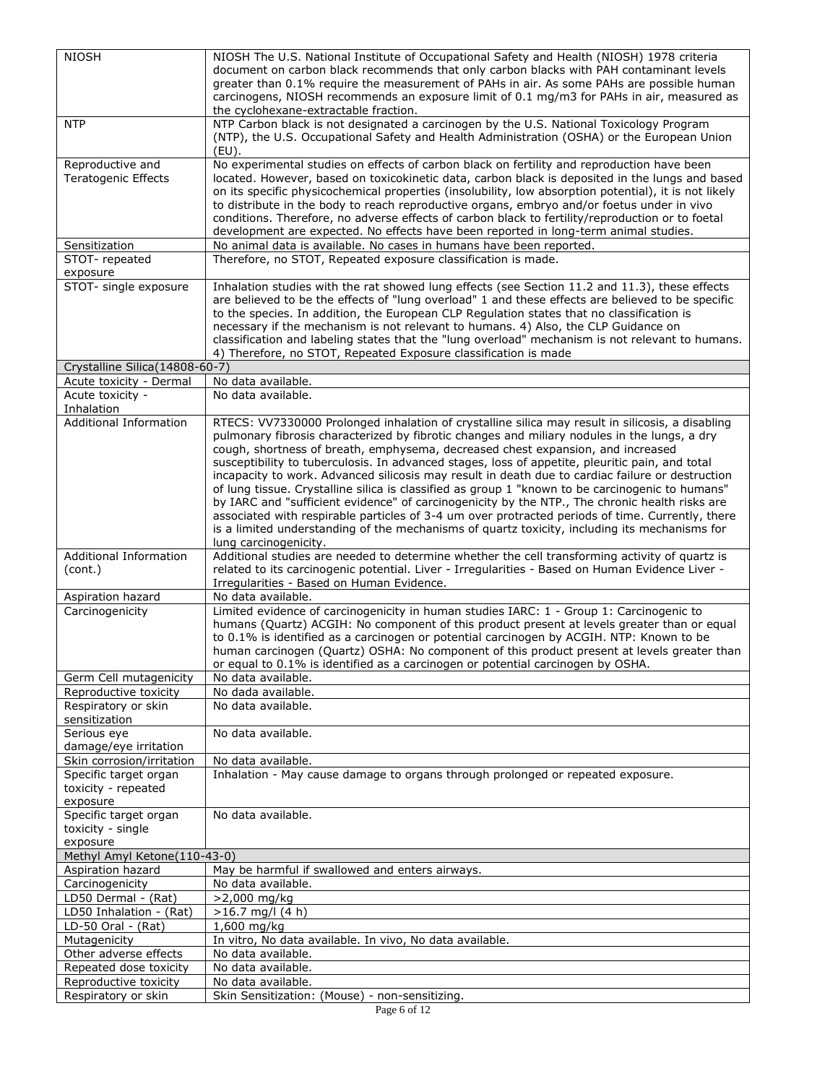| <b>NIOSH</b>                   | NIOSH The U.S. National Institute of Occupational Safety and Health (NIOSH) 1978 criteria                                                                                                         |
|--------------------------------|---------------------------------------------------------------------------------------------------------------------------------------------------------------------------------------------------|
|                                | document on carbon black recommends that only carbon blacks with PAH contaminant levels                                                                                                           |
|                                | greater than 0.1% require the measurement of PAHs in air. As some PAHs are possible human                                                                                                         |
|                                | carcinogens, NIOSH recommends an exposure limit of 0.1 mg/m3 for PAHs in air, measured as                                                                                                         |
|                                | the cyclohexane-extractable fraction.                                                                                                                                                             |
| <b>NTP</b>                     | NTP Carbon black is not designated a carcinogen by the U.S. National Toxicology Program                                                                                                           |
|                                | (NTP), the U.S. Occupational Safety and Health Administration (OSHA) or the European Union                                                                                                        |
|                                | (EU).                                                                                                                                                                                             |
| Reproductive and               | No experimental studies on effects of carbon black on fertility and reproduction have been                                                                                                        |
| Teratogenic Effects            | located. However, based on toxicokinetic data, carbon black is deposited in the lungs and based                                                                                                   |
|                                | on its specific physicochemical properties (insolubility, low absorption potential), it is not likely                                                                                             |
|                                | to distribute in the body to reach reproductive organs, embryo and/or foetus under in vivo                                                                                                        |
|                                | conditions. Therefore, no adverse effects of carbon black to fertility/reproduction or to foetal                                                                                                  |
|                                | development are expected. No effects have been reported in long-term animal studies.                                                                                                              |
| Sensitization                  | No animal data is available. No cases in humans have been reported.                                                                                                                               |
| STOT-repeated                  | Therefore, no STOT, Repeated exposure classification is made.                                                                                                                                     |
| exposure                       |                                                                                                                                                                                                   |
| STOT- single exposure          | Inhalation studies with the rat showed lung effects (see Section 11.2 and 11.3), these effects                                                                                                    |
|                                | are believed to be the effects of "lung overload" 1 and these effects are believed to be specific                                                                                                 |
|                                | to the species. In addition, the European CLP Regulation states that no classification is                                                                                                         |
|                                | necessary if the mechanism is not relevant to humans. 4) Also, the CLP Guidance on                                                                                                                |
|                                | classification and labeling states that the "lung overload" mechanism is not relevant to humans.                                                                                                  |
|                                | 4) Therefore, no STOT, Repeated Exposure classification is made                                                                                                                                   |
| Crystalline Silica(14808-60-7) |                                                                                                                                                                                                   |
| Acute toxicity - Dermal        | No data available.                                                                                                                                                                                |
| Acute toxicity -               | No data available.                                                                                                                                                                                |
| Inhalation                     |                                                                                                                                                                                                   |
| <b>Additional Information</b>  | RTECS: VV7330000 Prolonged inhalation of crystalline silica may result in silicosis, a disabling                                                                                                  |
|                                | pulmonary fibrosis characterized by fibrotic changes and miliary nodules in the lungs, a dry                                                                                                      |
|                                | cough, shortness of breath, emphysema, decreased chest expansion, and increased                                                                                                                   |
|                                | susceptibility to tuberculosis. In advanced stages, loss of appetite, pleuritic pain, and total                                                                                                   |
|                                | incapacity to work. Advanced silicosis may result in death due to cardiac failure or destruction                                                                                                  |
|                                | of lung tissue. Crystalline silica is classified as group 1 "known to be carcinogenic to humans"                                                                                                  |
|                                | by IARC and "sufficient evidence" of carcinogenicity by the NTP., The chronic health risks are                                                                                                    |
|                                | associated with respirable particles of 3-4 um over protracted periods of time. Currently, there<br>is a limited understanding of the mechanisms of quartz toxicity, including its mechanisms for |
|                                | lung carcinogenicity.                                                                                                                                                                             |
| <b>Additional Information</b>  | Additional studies are needed to determine whether the cell transforming activity of quartz is                                                                                                    |
| (cont.)                        | related to its carcinogenic potential. Liver - Irregularities - Based on Human Evidence Liver -                                                                                                   |
|                                | Irregularities - Based on Human Evidence.                                                                                                                                                         |
| Aspiration hazard              | No data available.                                                                                                                                                                                |
| Carcinogenicity                | Limited evidence of carcinogenicity in human studies IARC: 1 - Group 1: Carcinogenic to                                                                                                           |
|                                | humans (Quartz) ACGIH: No component of this product present at levels greater than or equal                                                                                                       |
|                                | to 0.1% is identified as a carcinogen or potential carcinogen by ACGIH. NTP: Known to be                                                                                                          |
|                                | human carcinogen (Quartz) OSHA: No component of this product present at levels greater than                                                                                                       |
|                                | or equal to 0.1% is identified as a carcinogen or potential carcinogen by OSHA.                                                                                                                   |
| Germ Cell mutagenicity         | No data available.                                                                                                                                                                                |
| Reproductive toxicity          | No dada available.                                                                                                                                                                                |
| Respiratory or skin            | No data available.                                                                                                                                                                                |
| sensitization                  |                                                                                                                                                                                                   |
| Serious eye                    | No data available.                                                                                                                                                                                |
| damage/eye irritation          |                                                                                                                                                                                                   |
| Skin corrosion/irritation      | No data available.                                                                                                                                                                                |
| Specific target organ          | Inhalation - May cause damage to organs through prolonged or repeated exposure.                                                                                                                   |
| toxicity - repeated            |                                                                                                                                                                                                   |
| exposure                       |                                                                                                                                                                                                   |
| Specific target organ          | No data available.                                                                                                                                                                                |
| toxicity - single              |                                                                                                                                                                                                   |
| exposure                       |                                                                                                                                                                                                   |
| Methyl Amyl Ketone(110-43-0)   |                                                                                                                                                                                                   |
| Aspiration hazard              | May be harmful if swallowed and enters airways.                                                                                                                                                   |
| Carcinogenicity                | No data available.                                                                                                                                                                                |
| LD50 Dermal - (Rat)            | $>2,000$ mg/kg                                                                                                                                                                                    |
| LD50 Inhalation - (Rat)        | $>16.7$ mg/l (4 h)                                                                                                                                                                                |
| LD-50 Oral - (Rat)             | 1,600 mg/kg                                                                                                                                                                                       |
| Mutagenicity                   | In vitro, No data available. In vivo, No data available.                                                                                                                                          |
| Other adverse effects          | No data available.                                                                                                                                                                                |
| Repeated dose toxicity         | No data available.                                                                                                                                                                                |
| Reproductive toxicity          | No data available.                                                                                                                                                                                |
| Respiratory or skin            | Skin Sensitization: (Mouse) - non-sensitizing.                                                                                                                                                    |
|                                | Page 6 of 12                                                                                                                                                                                      |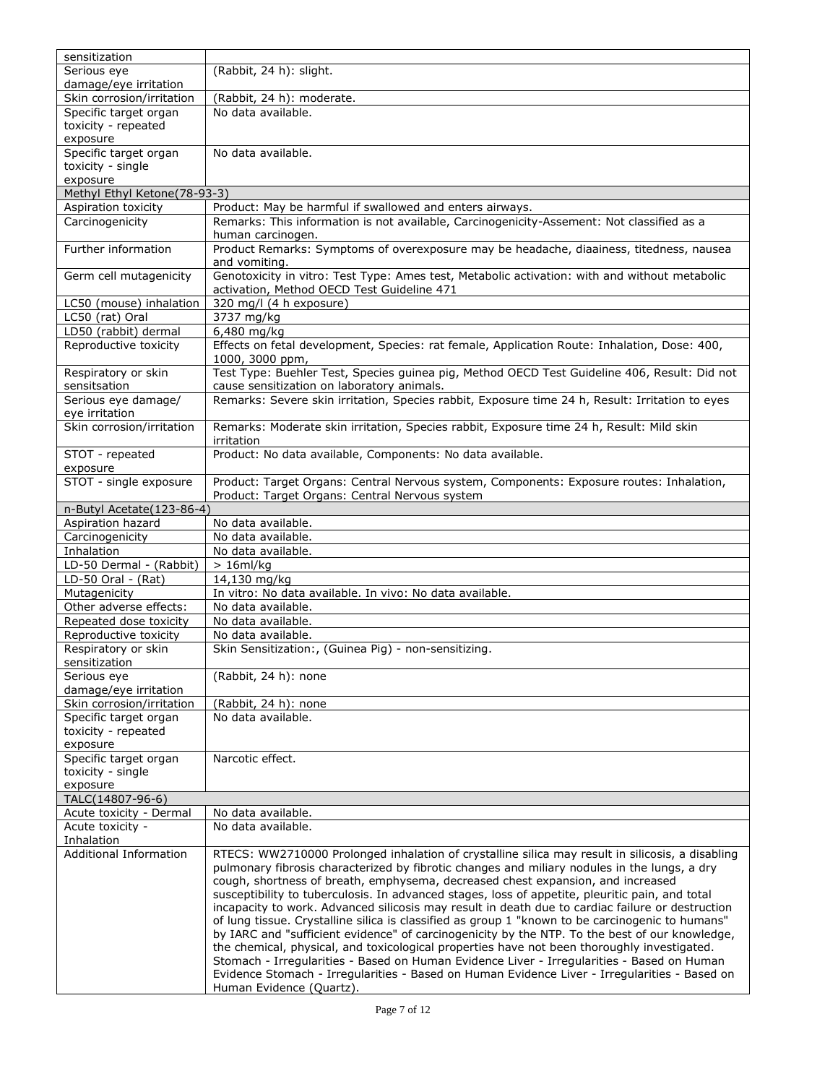| sensitization                 |                                                                                                                           |
|-------------------------------|---------------------------------------------------------------------------------------------------------------------------|
| Serious eye                   | (Rabbit, 24 h): slight.                                                                                                   |
| damage/eye irritation         |                                                                                                                           |
| Skin corrosion/irritation     | (Rabbit, 24 h): moderate.                                                                                                 |
| Specific target organ         | No data available.                                                                                                        |
| toxicity - repeated           |                                                                                                                           |
| exposure                      |                                                                                                                           |
| Specific target organ         | No data available.                                                                                                        |
| toxicity - single             |                                                                                                                           |
| exposure                      |                                                                                                                           |
| Methyl Ethyl Ketone(78-93-3)  |                                                                                                                           |
| Aspiration toxicity           | Product: May be harmful if swallowed and enters airways.                                                                  |
| Carcinogenicity               | Remarks: This information is not available, Carcinogenicity-Assement: Not classified as a                                 |
|                               | human carcinogen.                                                                                                         |
| Further information           | Product Remarks: Symptoms of overexposure may be headache, diaainess, titedness, nausea                                   |
|                               | and vomiting.                                                                                                             |
| Germ cell mutagenicity        | Genotoxicity in vitro: Test Type: Ames test, Metabolic activation: with and without metabolic                             |
|                               | activation, Method OECD Test Guideline 471                                                                                |
| LC50 (mouse) inhalation       | 320 mg/l (4 h exposure)                                                                                                   |
| LC50 (rat) Oral               | 3737 mg/kg                                                                                                                |
| LD50 (rabbit) dermal          |                                                                                                                           |
| Reproductive toxicity         | 6,480 mg/kg                                                                                                               |
|                               | Effects on fetal development, Species: rat female, Application Route: Inhalation, Dose: 400,                              |
|                               | 1000, 3000 ppm,                                                                                                           |
| Respiratory or skin           | Test Type: Buehler Test, Species guinea pig, Method OECD Test Guideline 406, Result: Did not                              |
| sensitsation                  | cause sensitization on laboratory animals.                                                                                |
| Serious eye damage/           | Remarks: Severe skin irritation, Species rabbit, Exposure time 24 h, Result: Irritation to eyes                           |
| eye irritation                |                                                                                                                           |
| Skin corrosion/irritation     | Remarks: Moderate skin irritation, Species rabbit, Exposure time 24 h, Result: Mild skin                                  |
|                               | irritation                                                                                                                |
| STOT - repeated               | Product: No data available, Components: No data available.                                                                |
| exposure                      |                                                                                                                           |
| STOT - single exposure        | Product: Target Organs: Central Nervous system, Components: Exposure routes: Inhalation,                                  |
|                               | Product: Target Organs: Central Nervous system                                                                            |
| n-Butyl Acetate(123-86-4)     |                                                                                                                           |
| Aspiration hazard             | No data available.                                                                                                        |
|                               |                                                                                                                           |
| Carcinogenicity               | No data available.                                                                                                        |
| Inhalation                    | No data available.                                                                                                        |
| LD-50 Dermal - (Rabbit)       | $> 16$ ml/kg                                                                                                              |
|                               |                                                                                                                           |
| LD-50 Oral - (Rat)            | 14,130 mg/kg                                                                                                              |
| Mutagenicity                  | In vitro: No data available. In vivo: No data available.                                                                  |
| Other adverse effects:        | No data available.                                                                                                        |
| Repeated dose toxicity        | No data available.                                                                                                        |
| Reproductive toxicity         | No data available.                                                                                                        |
| Respiratory or skin           | Skin Sensitization:, (Guinea Pig) - non-sensitizing.                                                                      |
| sensitization                 |                                                                                                                           |
| Serious eye                   | (Rabbit, 24 h): none                                                                                                      |
| damage/eye irritation         |                                                                                                                           |
| Skin corrosion/irritation     | (Rabbit, 24 h): none                                                                                                      |
| Specific target organ         | No data available.                                                                                                        |
| toxicity - repeated           |                                                                                                                           |
| exposure                      |                                                                                                                           |
| Specific target organ         | Narcotic effect.                                                                                                          |
| toxicity - single             |                                                                                                                           |
| exposure                      |                                                                                                                           |
| TALC(14807-96-6)              |                                                                                                                           |
| Acute toxicity - Dermal       | No data available.                                                                                                        |
| Acute toxicity -              | No data available.                                                                                                        |
| Inhalation                    |                                                                                                                           |
| <b>Additional Information</b> | RTECS: WW2710000 Prolonged inhalation of crystalline silica may result in silicosis, a disabling                          |
|                               | pulmonary fibrosis characterized by fibrotic changes and miliary nodules in the lungs, a dry                              |
|                               | cough, shortness of breath, emphysema, decreased chest expansion, and increased                                           |
|                               | susceptibility to tuberculosis. In advanced stages, loss of appetite, pleuritic pain, and total                           |
|                               | incapacity to work. Advanced silicosis may result in death due to cardiac failure or destruction                          |
|                               | of lung tissue. Crystalline silica is classified as group 1 "known to be carcinogenic to humans"                          |
|                               | by IARC and "sufficient evidence" of carcinogenicity by the NTP. To the best of our knowledge,                            |
|                               | the chemical, physical, and toxicological properties have not been thoroughly investigated.                               |
|                               | Stomach - Irregularities - Based on Human Evidence Liver - Irregularities - Based on Human                                |
|                               | Evidence Stomach - Irregularities - Based on Human Evidence Liver - Irregularities - Based on<br>Human Evidence (Quartz). |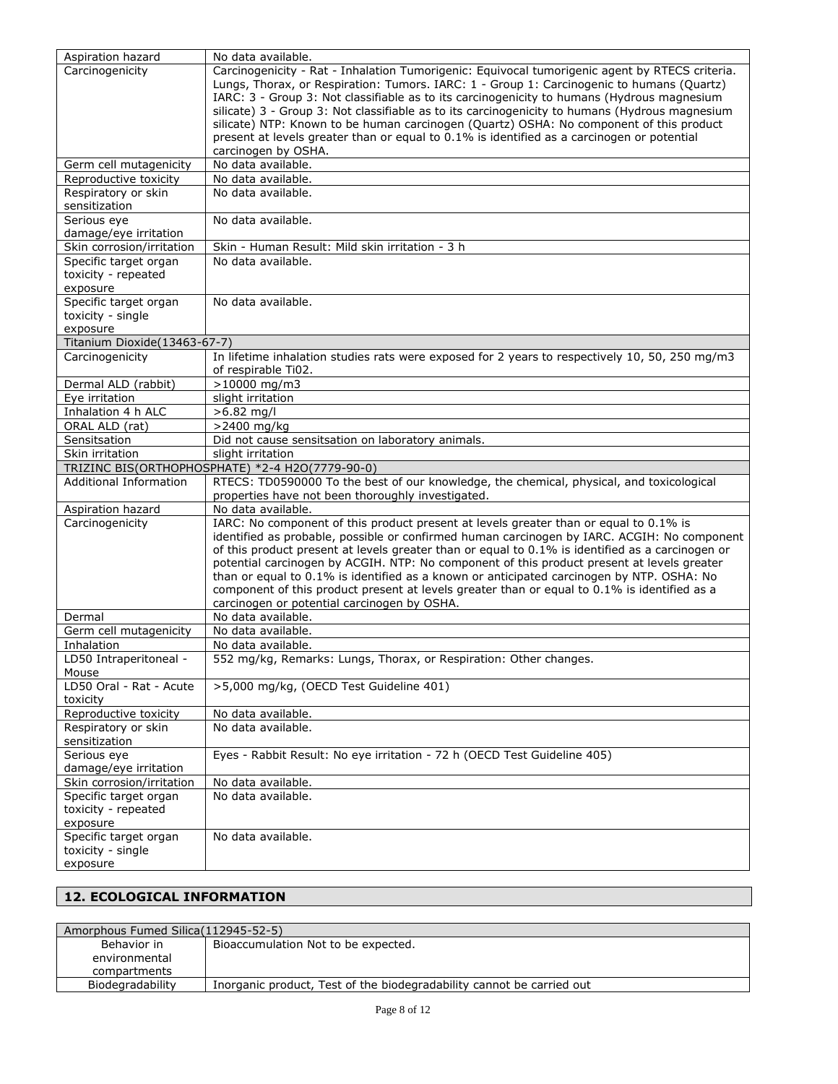| Aspiration hazard                        | No data available.                                                                                                |
|------------------------------------------|-------------------------------------------------------------------------------------------------------------------|
| Carcinogenicity                          | Carcinogenicity - Rat - Inhalation Tumorigenic: Equivocal tumorigenic agent by RTECS criteria.                    |
|                                          | Lungs, Thorax, or Respiration: Tumors. IARC: 1 - Group 1: Carcinogenic to humans (Quartz)                         |
|                                          | IARC: 3 - Group 3: Not classifiable as to its carcinogenicity to humans (Hydrous magnesium                        |
|                                          | silicate) 3 - Group 3: Not classifiable as to its carcinogenicity to humans (Hydrous magnesium                    |
|                                          | silicate) NTP: Known to be human carcinogen (Quartz) OSHA: No component of this product                           |
|                                          | present at levels greater than or equal to 0.1% is identified as a carcinogen or potential<br>carcinogen by OSHA. |
| Germ cell mutagenicity                   | No data available.                                                                                                |
| Reproductive toxicity                    | No data available.                                                                                                |
| Respiratory or skin                      | No data available.                                                                                                |
| sensitization                            |                                                                                                                   |
| Serious eye                              | No data available.                                                                                                |
| damage/eye irritation                    |                                                                                                                   |
| Skin corrosion/irritation                | Skin - Human Result: Mild skin irritation - 3 h                                                                   |
| Specific target organ                    | No data available.                                                                                                |
| toxicity - repeated                      |                                                                                                                   |
| exposure                                 |                                                                                                                   |
| Specific target organ                    | No data available.                                                                                                |
| toxicity - single                        |                                                                                                                   |
| exposure<br>Titanium Dioxide(13463-67-7) |                                                                                                                   |
| Carcinogenicity                          | In lifetime inhalation studies rats were exposed for 2 years to respectively 10, 50, 250 mg/m3                    |
|                                          | of respirable Ti02.                                                                                               |
| Dermal ALD (rabbit)                      | $>10000$ mg/m3                                                                                                    |
| Eye irritation                           | slight irritation                                                                                                 |
| Inhalation 4 h ALC                       | $>6.82$ ma/l                                                                                                      |
| ORAL ALD (rat)                           | >2400 mg/kg                                                                                                       |
| Sensitsation                             | Did not cause sensitsation on laboratory animals.                                                                 |
| Skin irritation                          | slight irritation                                                                                                 |
|                                          | TRIZINC BIS(ORTHOPHOSPHATE) *2-4 H2O(7779-90-0)                                                                   |
| <b>Additional Information</b>            | RTECS: TD0590000 To the best of our knowledge, the chemical, physical, and toxicological                          |
|                                          | properties have not been thoroughly investigated.                                                                 |
| Aspiration hazard                        | No data available.<br>IARC: No component of this product present at levels greater than or equal to 0.1% is       |
| Carcinogenicity                          | identified as probable, possible or confirmed human carcinogen by IARC. ACGIH: No component                       |
|                                          | of this product present at levels greater than or equal to 0.1% is identified as a carcinogen or                  |
|                                          | potential carcinogen by ACGIH. NTP: No component of this product present at levels greater                        |
|                                          | than or equal to 0.1% is identified as a known or anticipated carcinogen by NTP. OSHA: No                         |
|                                          | component of this product present at levels greater than or equal to 0.1% is identified as a                      |
|                                          | carcinogen or potential carcinogen by OSHA.                                                                       |
| Dermal                                   | No data available.                                                                                                |
| Germ cell mutagenicity                   | No data available.                                                                                                |
| Inhalation                               | No data available.                                                                                                |
| LD50 Intraperitoneal -                   | 552 mg/kg, Remarks: Lungs, Thorax, or Respiration: Other changes.                                                 |
| Mouse                                    | >5,000 mg/kg, (OECD Test Guideline 401)                                                                           |
| LD50 Oral - Rat - Acute<br>toxicity      |                                                                                                                   |
| Reproductive toxicity                    | No data available.                                                                                                |
| Respiratory or skin                      | No data available.                                                                                                |
| sensitization                            |                                                                                                                   |
| Serious eye                              | Eyes - Rabbit Result: No eye irritation - 72 h (OECD Test Guideline 405)                                          |
| damage/eye irritation                    |                                                                                                                   |
| Skin corrosion/irritation                | No data available.                                                                                                |
| Specific target organ                    | No data available.                                                                                                |
| toxicity - repeated                      |                                                                                                                   |
| exposure                                 |                                                                                                                   |
| Specific target organ                    | No data available.                                                                                                |
| toxicity - single                        |                                                                                                                   |
| exposure                                 |                                                                                                                   |

# **12. ECOLOGICAL INFORMATION**

| Amorphous Fumed Silica (112945-52-5) |                                                                       |
|--------------------------------------|-----------------------------------------------------------------------|
| Behavior in                          | Bioaccumulation Not to be expected.                                   |
| environmental                        |                                                                       |
| compartments                         |                                                                       |
| Biodegradability                     | Inorganic product, Test of the biodegradability cannot be carried out |
|                                      |                                                                       |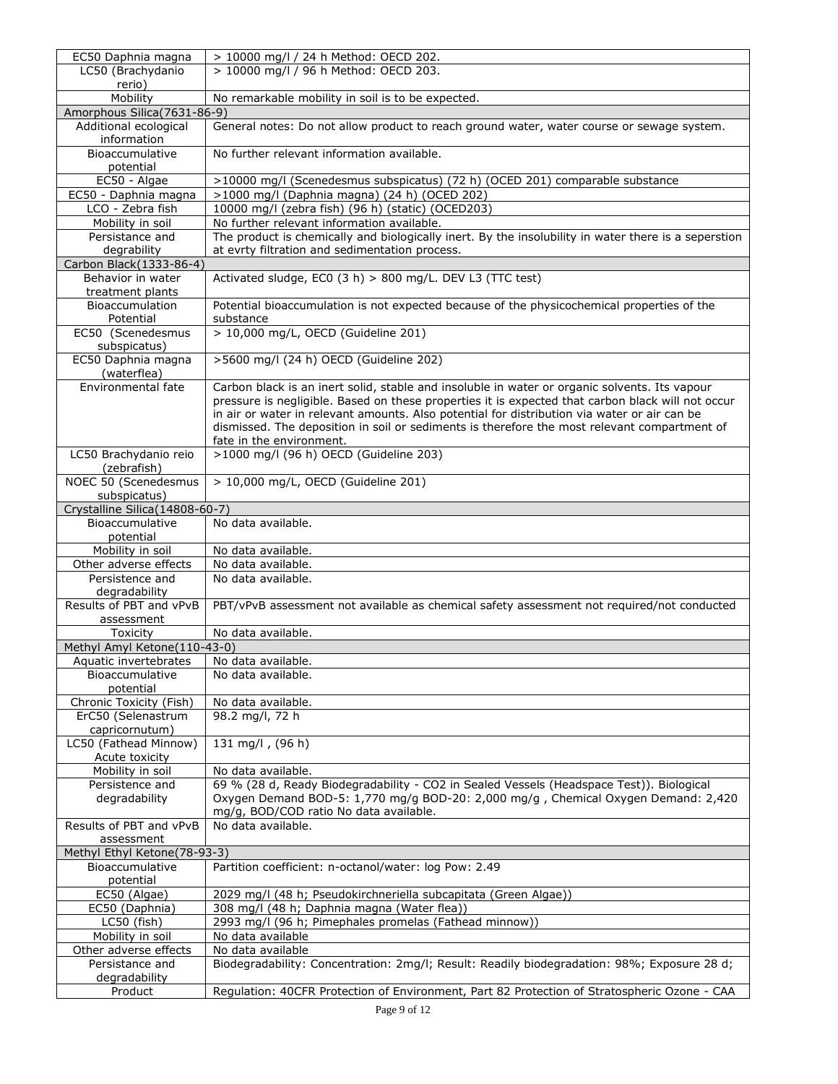| EC50 Daphnia magna                                    | > 10000 mg/l / 24 h Method: OECD 202.                                                                                                                                                        |
|-------------------------------------------------------|----------------------------------------------------------------------------------------------------------------------------------------------------------------------------------------------|
| LC50 (Brachydanio                                     | > 10000 mg/l / 96 h Method: OECD 203.                                                                                                                                                        |
| rerio)<br>Mobility                                    |                                                                                                                                                                                              |
| Amorphous Silica(7631-86-9)                           | No remarkable mobility in soil is to be expected.                                                                                                                                            |
| Additional ecological                                 | General notes: Do not allow product to reach ground water, water course or sewage system.                                                                                                    |
| information                                           |                                                                                                                                                                                              |
| Bioaccumulative                                       | No further relevant information available.                                                                                                                                                   |
| potential                                             |                                                                                                                                                                                              |
| EC50 - Algae                                          | >10000 mg/l (Scenedesmus subspicatus) (72 h) (OCED 201) comparable substance<br>>1000 mg/l (Daphnia magna) (24 h) (OCED 202)                                                                 |
| EC50 - Daphnia magna<br>LCO - Zebra fish              | 10000 mg/l (zebra fish) (96 h) (static) (OCED203)                                                                                                                                            |
| Mobility in soil                                      | No further relevant information available.                                                                                                                                                   |
| Persistance and                                       | The product is chemically and biologically inert. By the insolubility in water there is a seperstion                                                                                         |
| degrability                                           | at evrty filtration and sedimentation process.                                                                                                                                               |
| Carbon Black (1333-86-4)                              |                                                                                                                                                                                              |
| Behavior in water                                     | Activated sludge, EC0 (3 h) > 800 mg/L. DEV L3 (TTC test)                                                                                                                                    |
| treatment plants                                      |                                                                                                                                                                                              |
| Bioaccumulation<br>Potential                          | Potential bioaccumulation is not expected because of the physicochemical properties of the<br>substance                                                                                      |
| EC50 (Scenedesmus                                     | > 10,000 mg/L, OECD (Guideline 201)                                                                                                                                                          |
| subspicatus)                                          |                                                                                                                                                                                              |
| EC50 Daphnia magna                                    | >5600 mg/l (24 h) OECD (Guideline 202)                                                                                                                                                       |
| (waterflea)                                           |                                                                                                                                                                                              |
| Environmental fate                                    | Carbon black is an inert solid, stable and insoluble in water or organic solvents. Its vapour                                                                                                |
|                                                       | pressure is negligible. Based on these properties it is expected that carbon black will not occur                                                                                            |
|                                                       | in air or water in relevant amounts. Also potential for distribution via water or air can be<br>dismissed. The deposition in soil or sediments is therefore the most relevant compartment of |
|                                                       | fate in the environment.                                                                                                                                                                     |
| LC50 Brachydanio reio                                 | >1000 mg/l (96 h) OECD (Guideline 203)                                                                                                                                                       |
| (zebrafish)                                           |                                                                                                                                                                                              |
| NOEC 50 (Scenedesmus                                  | > 10,000 mg/L, OECD (Guideline 201)                                                                                                                                                          |
| subspicatus)                                          |                                                                                                                                                                                              |
| Crystalline Silica(14808-60-7)<br>Bioaccumulative     | No data available.                                                                                                                                                                           |
| potential                                             |                                                                                                                                                                                              |
| Mobility in soil                                      | No data available.                                                                                                                                                                           |
| Other adverse effects                                 | No data available.                                                                                                                                                                           |
| Persistence and                                       | No data available.                                                                                                                                                                           |
| degradability                                         |                                                                                                                                                                                              |
| Results of PBT and vPvB                               | PBT/vPvB assessment not available as chemical safety assessment not required/not conducted                                                                                                   |
| assessment                                            |                                                                                                                                                                                              |
| Toxicity                                              | No data available.                                                                                                                                                                           |
| Methyl Amyl Ketone(110-43-0)<br>Aquatic invertebrates | No data available.                                                                                                                                                                           |
| Bioaccumulative                                       | No data available.                                                                                                                                                                           |
| potential                                             |                                                                                                                                                                                              |
| Chronic Toxicity (Fish)                               | No data available.                                                                                                                                                                           |
| ErC50 (Selenastrum                                    | 98.2 mg/l, 72 h                                                                                                                                                                              |
| capricornutum)                                        |                                                                                                                                                                                              |
| LC50 (Fathead Minnow)<br>Acute toxicity               | 131 mg/l, (96 h)                                                                                                                                                                             |
| Mobility in soil                                      | No data available.                                                                                                                                                                           |
| Persistence and                                       | 69 % (28 d, Ready Biodegradability - CO2 in Sealed Vessels (Headspace Test)). Biological                                                                                                     |
| degradability                                         | Oxygen Demand BOD-5: 1,770 mg/g BOD-20: 2,000 mg/g, Chemical Oxygen Demand: 2,420                                                                                                            |
|                                                       | mg/g, BOD/COD ratio No data available.                                                                                                                                                       |
| Results of PBT and vPvB                               | No data available.                                                                                                                                                                           |
| assessment                                            |                                                                                                                                                                                              |
| Methyl Ethyl Ketone(78-93-3)<br>Bioaccumulative       | Partition coefficient: n-octanol/water: log Pow: 2.49                                                                                                                                        |
| potential                                             |                                                                                                                                                                                              |
| EC50 (Algae)                                          | 2029 mg/l (48 h; Pseudokirchneriella subcapitata (Green Algae))                                                                                                                              |
| EC50 (Daphnia)                                        | 308 mg/l (48 h; Daphnia magna (Water flea))                                                                                                                                                  |
| LC50 (fish)                                           | 2993 mg/l (96 h; Pimephales promelas (Fathead minnow))                                                                                                                                       |
| Mobility in soil                                      | No data available                                                                                                                                                                            |
| Other adverse effects                                 | No data available                                                                                                                                                                            |
| Persistance and                                       | Biodegradability: Concentration: 2mg/l; Result: Readily biodegradation: 98%; Exposure 28 d;                                                                                                  |
| degradability<br>Product                              | Regulation: 40CFR Protection of Environment, Part 82 Protection of Stratospheric Ozone - CAA                                                                                                 |
|                                                       |                                                                                                                                                                                              |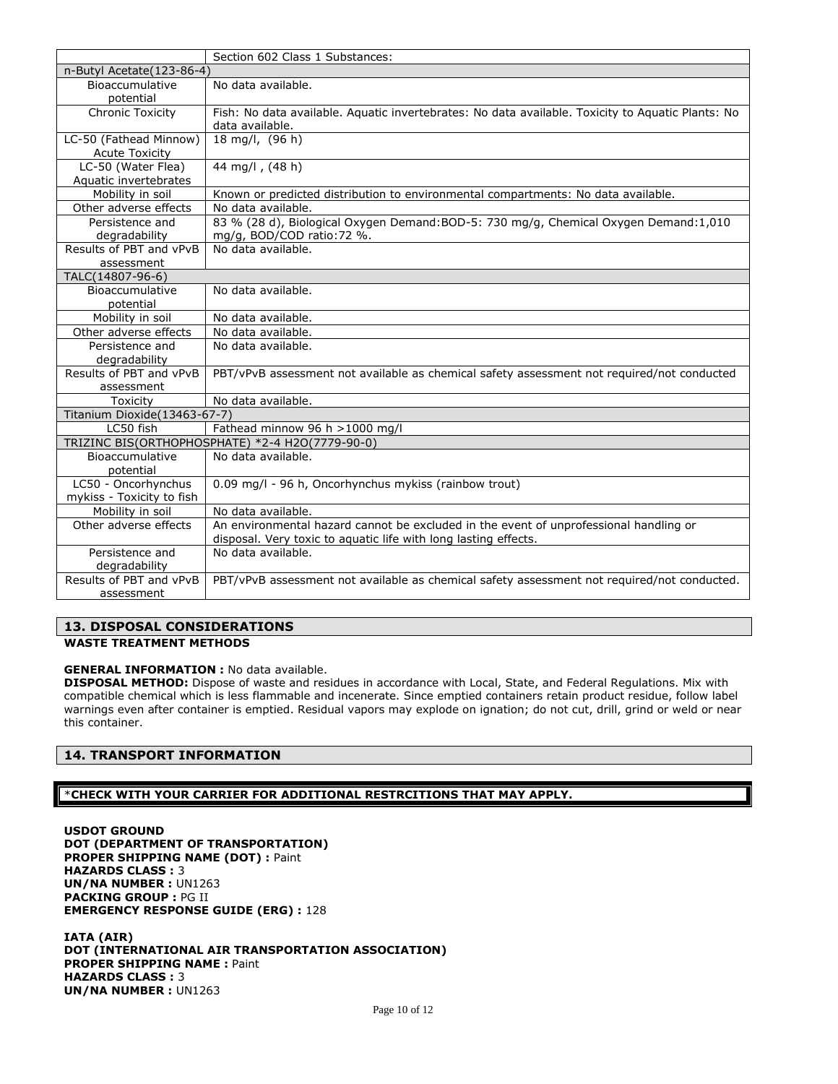|                              | Section 602 Class 1 Substances:                                                                   |
|------------------------------|---------------------------------------------------------------------------------------------------|
| n-Butyl Acetate (123-86-4)   |                                                                                                   |
| Bioaccumulative              | No data available.                                                                                |
| potential                    |                                                                                                   |
| <b>Chronic Toxicity</b>      | Fish: No data available. Aquatic invertebrates: No data available. Toxicity to Aquatic Plants: No |
|                              | data available.                                                                                   |
| LC-50 (Fathead Minnow)       | 18 mg/l, (96 h)                                                                                   |
| <b>Acute Toxicity</b>        |                                                                                                   |
| LC-50 (Water Flea)           | 44 mg/l, (48 h)                                                                                   |
| Aquatic invertebrates        |                                                                                                   |
| Mobility in soil             | Known or predicted distribution to environmental compartments: No data available.                 |
| Other adverse effects        | No data available.                                                                                |
| Persistence and              | 83 % (28 d), Biological Oxygen Demand:BOD-5: 730 mg/g, Chemical Oxygen Demand:1,010               |
| degradability                | mg/g, BOD/COD ratio: 72 %.                                                                        |
| Results of PBT and vPvB      | No data available.                                                                                |
| assessment                   |                                                                                                   |
| TALC(14807-96-6)             |                                                                                                   |
| Bioaccumulative              | No data available.                                                                                |
| potential                    |                                                                                                   |
| Mobility in soil             | No data available.                                                                                |
| Other adverse effects        | No data available.                                                                                |
| Persistence and              | No data available.                                                                                |
| degradability                |                                                                                                   |
| Results of PBT and vPvB      | PBT/vPvB assessment not available as chemical safety assessment not required/not conducted        |
| assessment                   |                                                                                                   |
| Toxicity                     | No data available.                                                                                |
| Titanium Dioxide(13463-67-7) |                                                                                                   |
| LC50 fish                    | Fathead minnow 96 h >1000 mg/l                                                                    |
|                              | TRIZINC BIS(ORTHOPHOSPHATE) *2-4 H2O(7779-90-0)                                                   |
| Bioaccumulative              | No data available.                                                                                |
| potential                    |                                                                                                   |
| LC50 - Oncorhynchus          | 0.09 mg/l - 96 h, Oncorhynchus mykiss (rainbow trout)                                             |
| mykiss - Toxicity to fish    |                                                                                                   |
| Mobility in soil             | No data available.                                                                                |
| Other adverse effects        | An environmental hazard cannot be excluded in the event of unprofessional handling or             |
|                              | disposal. Very toxic to aquatic life with long lasting effects.                                   |
| Persistence and              | No data available.                                                                                |
| degradability                |                                                                                                   |
| Results of PBT and vPvB      | PBT/vPvB assessment not available as chemical safety assessment not required/not conducted.       |
| assessment                   |                                                                                                   |

# **13. DISPOSAL CONSIDERATIONS**

### **WASTE TREATMENT METHODS**

# **GENERAL INFORMATION :** No data available.

**DISPOSAL METHOD:** Dispose of waste and residues in accordance with Local, State, and Federal Regulations. Mix with compatible chemical which is less flammable and incenerate. Since emptied containers retain product residue, follow label warnings even after container is emptied. Residual vapors may explode on ignation; do not cut, drill, grind or weld or near this container.

### **14. TRANSPORT INFORMATION**

### \***CHECK WITH YOUR CARRIER FOR ADDITIONAL RESTRCITIONS THAT MAY APPLY.**

**USDOT GROUND DOT (DEPARTMENT OF TRANSPORTATION) PROPER SHIPPING NAME (DOT) :** Paint **HAZARDS CLASS :** 3 **UN/NA NUMBER :** UN1263 **PACKING GROUP :** PG II **EMERGENCY RESPONSE GUIDE (ERG) :** 128

**IATA (AIR) DOT (INTERNATIONAL AIR TRANSPORTATION ASSOCIATION) PROPER SHIPPING NAME :** Paint **HAZARDS CLASS :** 3 **UN/NA NUMBER :** UN1263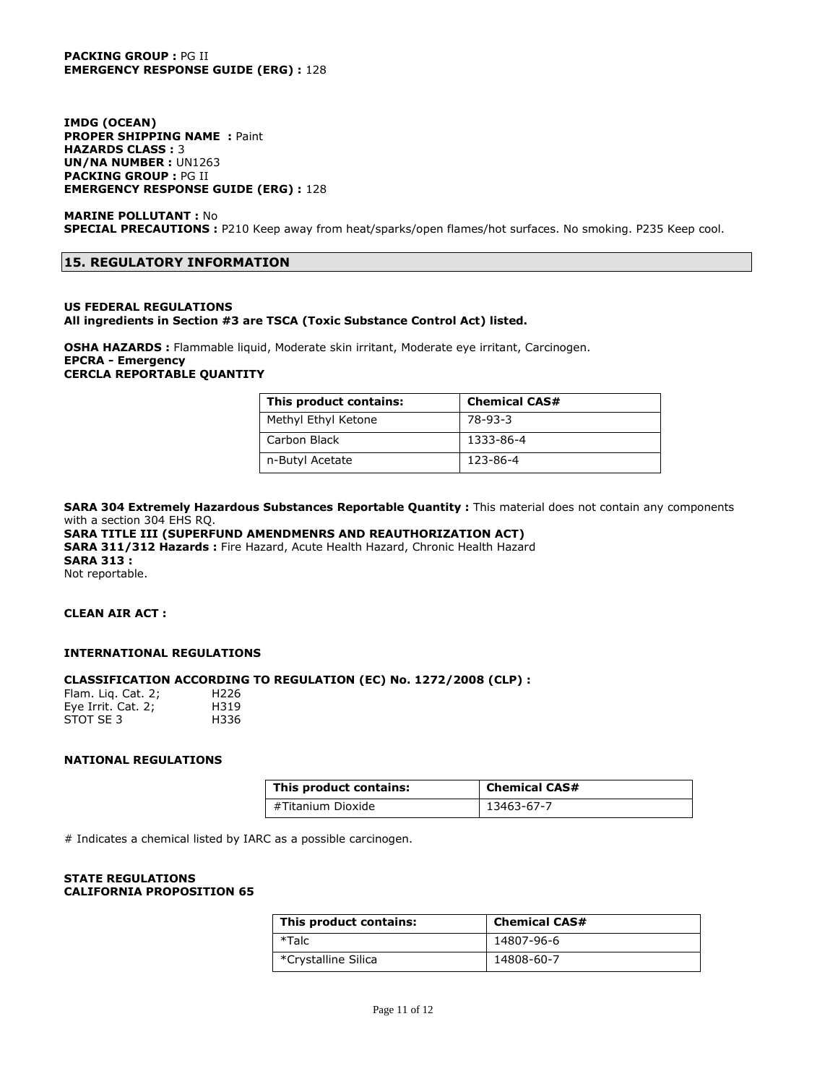### **PACKING GROUP :** PG II **EMERGENCY RESPONSE GUIDE (ERG) :** 128

**IMDG (OCEAN) PROPER SHIPPING NAME :** Paint **HAZARDS CLASS :** 3 **UN/NA NUMBER :** UN1263 **PACKING GROUP :** PG II **EMERGENCY RESPONSE GUIDE (ERG) :** 128

### **MARINE POLLUTANT :** No **SPECIAL PRECAUTIONS :** P210 Keep away from heat/sparks/open flames/hot surfaces. No smoking. P235 Keep cool.

### **15. REGULATORY INFORMATION**

#### **US FEDERAL REGULATIONS All ingredients in Section #3 are TSCA (Toxic Substance Control Act) listed.**

### **OSHA HAZARDS :** Flammable liquid, Moderate skin irritant, Moderate eye irritant, Carcinogen. **EPCRA - Emergency CERCLA REPORTABLE QUANTITY**

| This product contains: | <b>Chemical CAS#</b> |
|------------------------|----------------------|
| Methyl Ethyl Ketone    | 78-93-3              |
| Carbon Black           | 1333-86-4            |
| n-Butyl Acetate        | 123-86-4             |

**SARA 304 Extremely Hazardous Substances Reportable Quantity :** This material does not contain any components with a section 304 EHS RQ.

# **SARA TITLE III (SUPERFUND AMENDMENRS AND REAUTHORIZATION ACT)**

**SARA 311/312 Hazards :** Fire Hazard, Acute Health Hazard, Chronic Health Hazard **SARA 313 :** Not reportable.

### **CLEAN AIR ACT :**

### **INTERNATIONAL REGULATIONS**

### **CLASSIFICATION ACCORDING TO REGULATION (EC) No. 1272/2008 (CLP) :**

| Flam. Lig. Cat. 2; | H <sub>226</sub> |
|--------------------|------------------|
| Eye Irrit. Cat. 2; | H319             |
| STOT SE 3          | H336             |

### **NATIONAL REGULATIONS**

| This product contains: | <b>Chemical CAS#</b> |
|------------------------|----------------------|
| #Titanium Dioxide      | 13463-67-7           |

# Indicates a chemical listed by IARC as a possible carcinogen.

#### **STATE REGULATIONS CALIFORNIA PROPOSITION 65**

| This product contains: | <b>Chemical CAS#</b> |
|------------------------|----------------------|
| *Talc                  | 14807-96-6           |
| *Crystalline Silica    | 14808-60-7           |